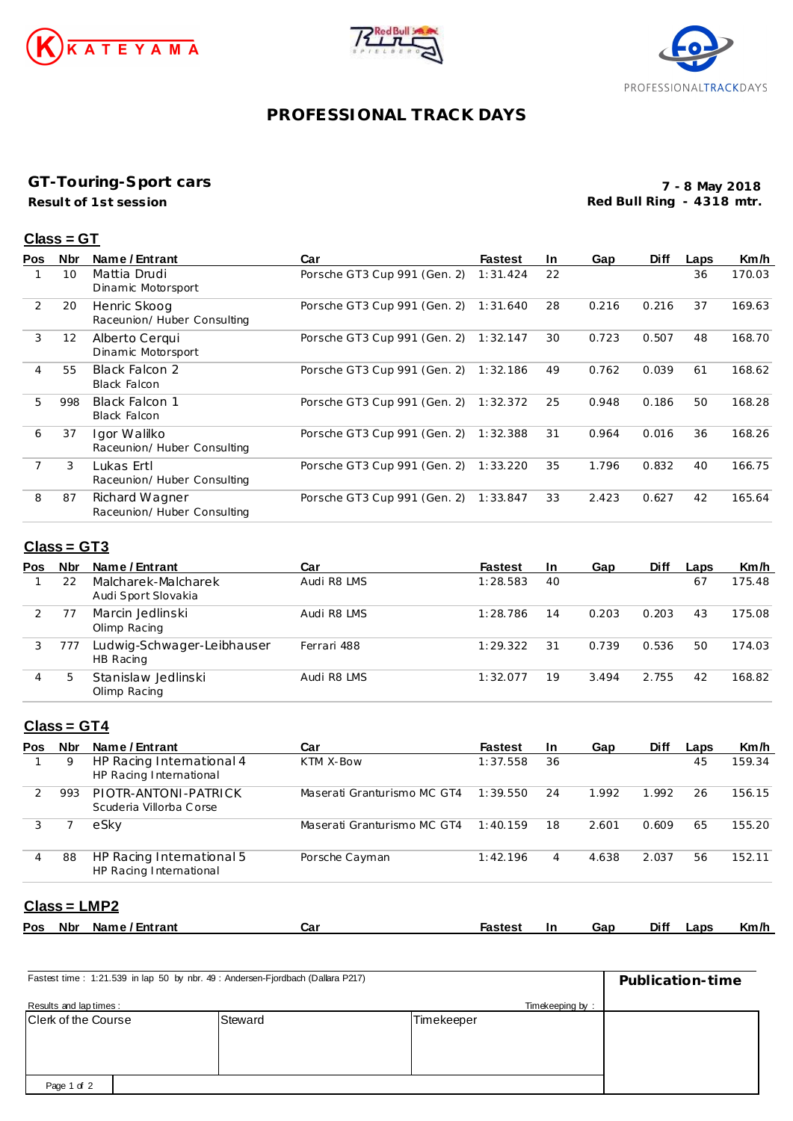





# **PROFESSIONAL TRACK DAYS**

### **GT-Touring-Sport cars**

**Result of 1st session**

**7 - 8 May 2018 Red Bull Ring - 4318 mtr.**

#### **Class = GT**

| <b>Pos</b> | <b>Nbr</b>        | Name / Entrant                                | Car                          | <b>Fastest</b> | In. | Gap   | <b>Diff</b> | Laps | Km/h   |
|------------|-------------------|-----------------------------------------------|------------------------------|----------------|-----|-------|-------------|------|--------|
|            | 10                | Mattia Drudi<br>Dinamic Motorsport            | Porsche GT3 Cup 991 (Gen. 2) | 1:31.424       | 22  |       |             | 36   | 170.03 |
| 2          | 20                | Henric Skoog<br>Raceunion/Huber Consulting    | Porsche GT3 Cup 991 (Gen. 2) | 1:31.640       | 28  | 0.216 | 0.216       | 37   | 169.63 |
| 3          | $12 \overline{ }$ | Alberto Cergui<br>Dinamic Motorsport          | Porsche GT3 Cup 991 (Gen. 2) | 1:32.147       | 30  | 0.723 | 0.507       | 48   | 168.70 |
| 4          | 55                | <b>Black Falcon 2</b><br><b>Black Falcon</b>  | Porsche GT3 Cup 991 (Gen. 2) | 1:32.186       | 49  | 0.762 | 0.039       | 61   | 168.62 |
| 5          | 998               | Black Falcon 1<br><b>Black Falcon</b>         | Porsche GT3 Cup 991 (Gen. 2) | 1:32.372       | 25  | 0.948 | 0.186       | 50   | 168.28 |
| 6          | 37                | Igor Walilko<br>Raceunion/ Huber Consulting   | Porsche GT3 Cup 991 (Gen. 2) | 1:32.388       | 31  | 0.964 | 0.016       | 36   | 168.26 |
| 7          | 3                 | Lukas Ertl<br>Raceunion/Huber Consulting      | Porsche GT3 Cup 991 (Gen. 2) | 1:33.220       | 35  | 1.796 | 0.832       | 40   | 166.75 |
| 8          | 87                | Richard Wagner<br>Raceunion/ Huber Consulting | Porsche GT3 Cup 991 (Gen. 2) | 1:33.847       | 33  | 2.423 | 0.627       | 42   | 165.64 |

## **Class = GT3**

| <b>Pos</b> | Nbr          | Name / Entrant                             | Car         | <b>Fastest</b> | <u>In</u> | Gap   | <b>Diff</b> | Laps | Km/h   |
|------------|--------------|--------------------------------------------|-------------|----------------|-----------|-------|-------------|------|--------|
|            | 22           | Malcharek-Malcharek<br>Audi Sport Slovakia | Audi R8 LMS | 1:28.583       | 40        |       |             | 67   | 175.48 |
|            |              | Marcin Jedlinski<br>Olimp Racing           | Audi R8 LMS | 1:28.786       | 14        | 0.203 | 0.203       | 43   | 175.08 |
| 3          | 777          | Ludwig-Schwager-Leibhauser<br>HB Racing    | Ferrari 488 | 1:29.322       | 31        | 0.739 | 0.536       | 50   | 174.03 |
| 4          | $\mathbf{b}$ | Stanislaw Jedlinski<br>Olimp Racing        | Audi R8 LMS | 1:32.077       | 19        | 3.494 | 2.755       | 42   | 168.82 |

# **Class = GT4**

| <b>Pos</b> | <b>Nbr</b> | Name / Entrant                                       | Car                         | <b>Fastest</b> | -In | Gap   | <b>Diff</b> | Laps | Km/h   |
|------------|------------|------------------------------------------------------|-----------------------------|----------------|-----|-------|-------------|------|--------|
|            | 9          | HP Racing International 4<br>HP Racing International | KTM X-Bow                   | 1:37.558       | 36  |       |             | 45   | 159.34 |
|            | 993        | PIOTR-ANTONI-PATRICK<br>Scuderia Villorba Corse      | Maserati Granturismo MC GT4 | 1:39.550       | 24  | 1.992 | 1.992       | 26   | 156.15 |
|            |            | eSkv                                                 | Maserati Granturismo MC GT4 | 1:40.159       | 18  | 2.601 | 0.609       | 65   | 155.20 |
| 4          | 88         | HP Racing International 5<br>HP Racing International | Porsche Cayman              | 1:42.196       | 4   | 4.638 | 2.037       | 56   | 152.11 |

### **Class = LMP2**

| <b>Pos</b> | Nbr | Name / Entrant | Ca⊧ | Fastest | In | Gap | Diff | Laps | Km/h |
|------------|-----|----------------|-----|---------|----|-----|------|------|------|
|            |     |                |     |         |    |     |      |      |      |

| Fastest time: 1:21.539 in lap 50 by nbr. 49 : Andersen-Fjordbach (Dallara P217) | Publication-time |            |  |
|---------------------------------------------------------------------------------|------------------|------------|--|
| Results and lap times:                                                          | Timekeeping by:  |            |  |
| Clerk of the Course                                                             | Steward          | Timekeeper |  |
|                                                                                 |                  |            |  |
|                                                                                 |                  |            |  |
|                                                                                 |                  |            |  |
| Page 1 of 2                                                                     |                  |            |  |